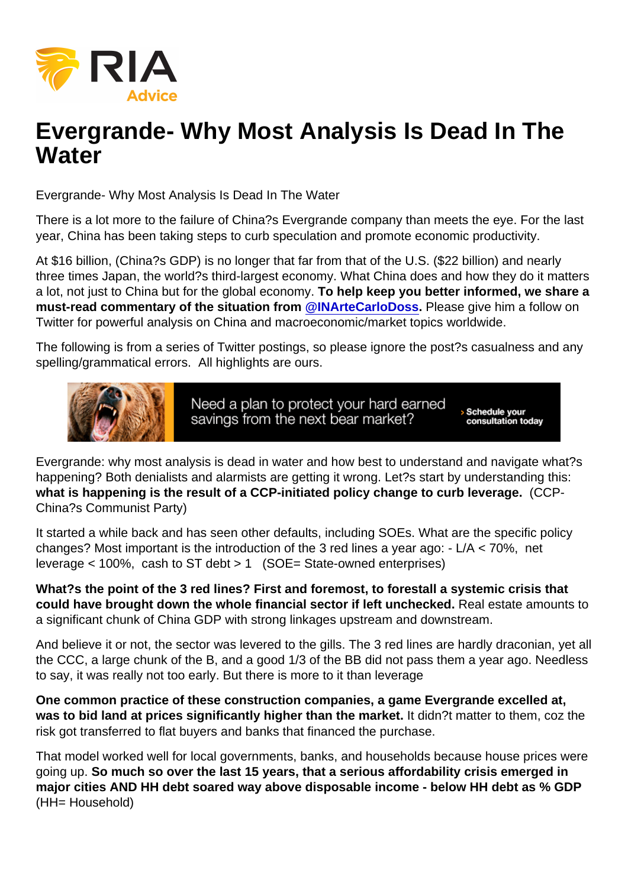## Evergrande- Why Most Analysis Is Dead In The **Water**

Evergrande- Why Most Analysis Is Dead In The Water

There is a lot more to the failure of China?s Evergrande company than meets the eye. For the last year, China has been taking steps to curb speculation and promote economic productivity.

At \$16 billion, (China?s GDP) is no longer that far from that of the U.S. (\$22 billion) and nearly three times Japan, the world?s third-largest economy. What China does and how they do it matters a lot, not just to China but for the global economy. To help keep you better informed, we share a must-read commentary of the situation from [@INArteCarloDoss](https://twitter.com/INArteCarloDoss) . Please give him a follow on Twitter for powerful analysis on China and macroeconomic/market topics worldwide.

The following is from a series of Twitter postings, so please ignore the post?s casualness and any spelling/grammatical errors. All highlights are ours.

Evergrande: why most analysis is dead in water and how best to understand and navigate what?s happening? Both denialists and alarmists are getting it wrong. Let?s start by understanding this: what is happening is the result of a CCP-initiated policy change to curb leverage.  $\qquad$  (CCP-China?s Communist Party)

It started a while back and has seen other defaults, including SOEs. What are the specific policy changes? Most important is the introduction of the 3 red lines a year ago: - L/A < 70%, net leverage < 100%, cash to ST debt > 1 (SOE= State-owned enterprises)

What?s the point of the 3 red lines? First and foremost, to forestall a systemic crisis that could have brought down the whole financial sector if left unchecked. Real estate amounts to a significant chunk of China GDP with strong linkages upstream and downstream.

And believe it or not, the sector was levered to the gills. The 3 red lines are hardly draconian, yet all the CCC, a large chunk of the B, and a good 1/3 of the BB did not pass them a year ago. Needless to say, it was really not too early. But there is more to it than leverage

One common practice of these construction companies, a game Evergrande excelled at, was to bid land at prices significantly higher than the market. It didn?t matter to them, coz the risk got transferred to flat buyers and banks that financed the purchase.

That model worked well for local governments, banks, and households because house prices were going up. So much so over the last 15 years, that a serious affordability crisis emerged in major cities AND HH debt soared way above disposable income - below HH debt as % GDP (HH= Household)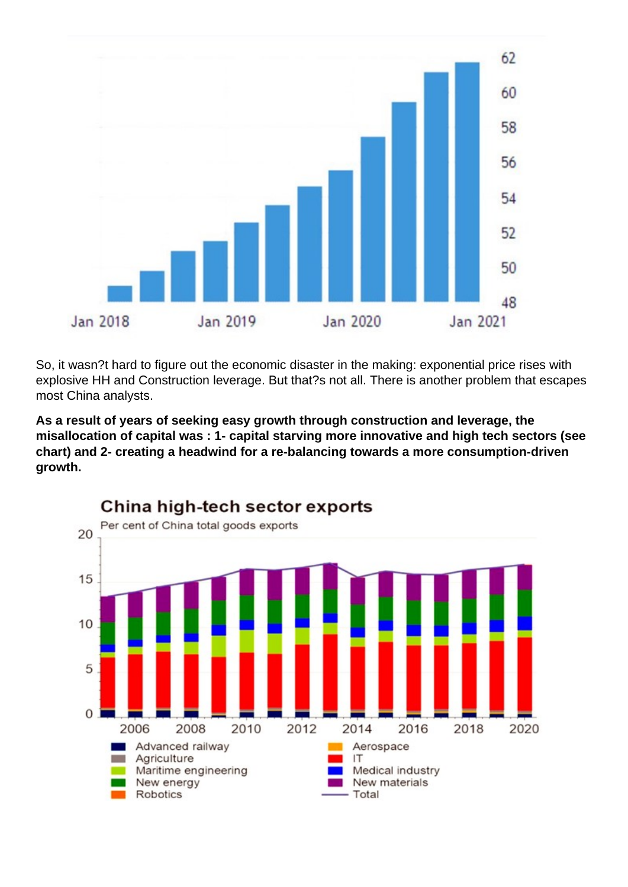

So, it wasn?t hard to figure out the economic disaster in the making: exponential price rises with explosive HH and Construction leverage. But that?s not all. There is another problem that escapes most China analysts.

**As a result of years of seeking easy growth through construction and leverage, the misallocation of capital was : 1- capital starving more innovative and high tech sectors (see chart) and 2- creating a headwind for a re-balancing towards a more consumption-driven growth.**

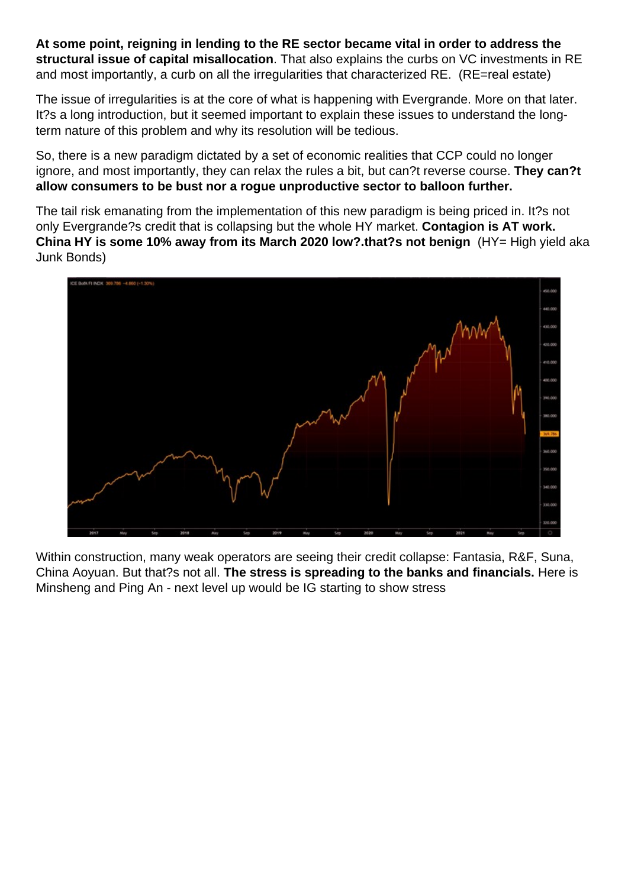**At some point, reigning in lending to the RE sector became vital in order to address the structural issue of capital misallocation**. That also explains the curbs on VC investments in RE and most importantly, a curb on all the irregularities that characterized RE. (RE=real estate)

The issue of irregularities is at the core of what is happening with Evergrande. More on that later. It?s a long introduction, but it seemed important to explain these issues to understand the longterm nature of this problem and why its resolution will be tedious.

So, there is a new paradigm dictated by a set of economic realities that CCP could no longer ignore, and most importantly, they can relax the rules a bit, but can?t reverse course. **They can?t allow consumers to be bust nor a rogue unproductive sector to balloon further.**

The tail risk emanating from the implementation of this new paradigm is being priced in. It?s not only Evergrande?s credit that is collapsing but the whole HY market. **Contagion is AT work. China HY is some 10% away from its March 2020 low?.that?s not benign** (HY= High yield aka Junk Bonds)



Within construction, many weak operators are seeing their credit collapse: Fantasia, R&F, Suna, China Aoyuan. But that?s not all. **The stress is spreading to the banks and financials.** Here is Minsheng and Ping An - next level up would be IG starting to show stress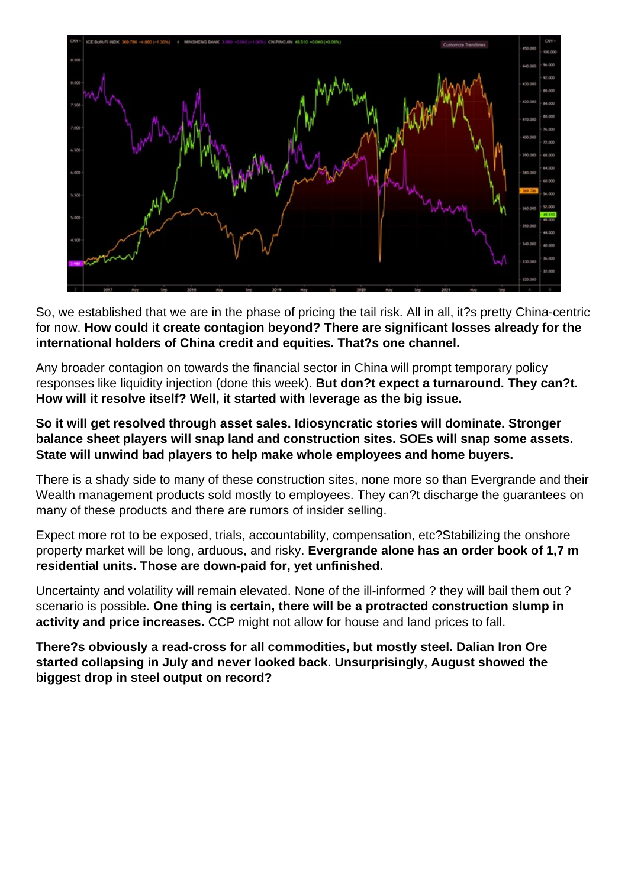

So, we established that we are in the phase of pricing the tail risk. All in all, it?s pretty China-centric for now. **How could it create contagion beyond? There are significant losses already for the international holders of China credit and equities. That?s one channel.**

Any broader contagion on towards the financial sector in China will prompt temporary policy responses like liquidity injection (done this week). **But don?t expect a turnaround. They can?t. How will it resolve itself? Well, it started with leverage as the big issue.**

## **So it will get resolved through asset sales. Idiosyncratic stories will dominate. Stronger balance sheet players will snap land and construction sites. SOEs will snap some assets. State will unwind bad players to help make whole employees and home buyers.**

There is a shady side to many of these construction sites, none more so than Evergrande and their Wealth management products sold mostly to employees. They can?t discharge the guarantees on many of these products and there are rumors of insider selling.

Expect more rot to be exposed, trials, accountability, compensation, etc?Stabilizing the onshore property market will be long, arduous, and risky. **Evergrande alone has an order book of 1,7 m residential units. Those are down-paid for, yet unfinished.**

Uncertainty and volatility will remain elevated. None of the ill-informed ? they will bail them out ? scenario is possible. **One thing is certain, there will be a protracted construction slump in activity and price increases.** CCP might not allow for house and land prices to fall.

**There?s obviously a read-cross for all commodities, but mostly steel. Dalian Iron Ore started collapsing in July and never looked back. Unsurprisingly, August showed the biggest drop in steel output on record?**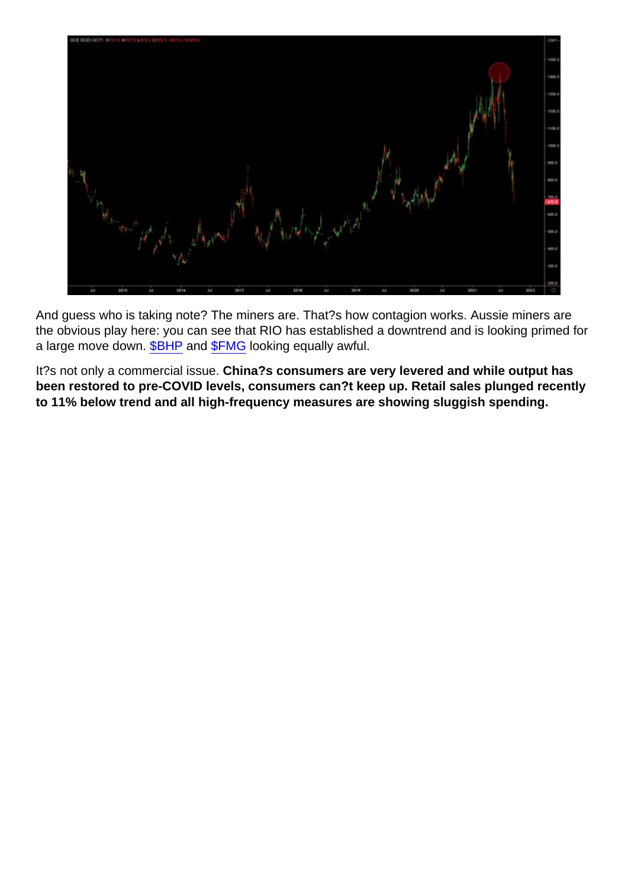And guess who is taking note? The miners are. That?s how contagion works. Aussie miners are the obvious play here: you can see that RIO has established a downtrend and is looking primed for a large move down. [\\$BHP](https://twitter.com/search?q=$BHP&src=cashtag_click) and [\\$FMG](https://twitter.com/search?q=$FMG&src=cashtag_click) looking equally awful.

It?s not only a commercial issue. China?s consumers are very levered and while output has been restored to pre-COVID levels, consumers can?t keep up. Retail sales plunged recently to 11% below trend and all high-frequency measures are showing sluggish spending.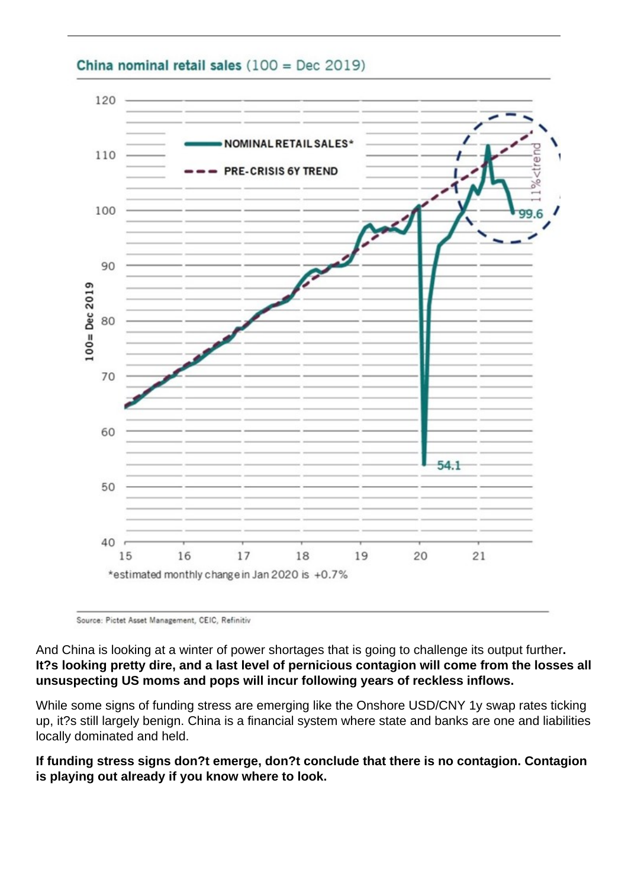

## China nominal retail sales  $(100 = Dec 2019)$

Source: Pictet Asset Management, CEIC, Refinitiv

And China is looking at a winter of power shortages that is going to challenge its output further**. It?s looking pretty dire, and a last level of pernicious contagion will come from the losses all unsuspecting US moms and pops will incur following years of reckless inflows.**

While some signs of funding stress are emerging like the Onshore USD/CNY 1y swap rates ticking up, it?s still largely benign. China is a financial system where state and banks are one and liabilities locally dominated and held.

**If funding stress signs don?t emerge, don?t conclude that there is no contagion. Contagion is playing out already if you know where to look.**